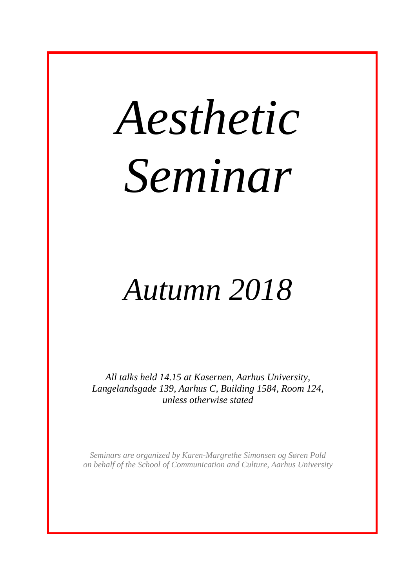# *Aesthetic Seminar*

# *Autumn 2018*

*All talks held 14.15 at Kasernen, Aarhus University, Langelandsgade 139, Aarhus C, Building 1584, Room 124, unless otherwise stated*

*Seminars are organized by Karen-Margrethe Simonsen og Søren Pold on behalf of the School of Communication and Culture, Aarhus University*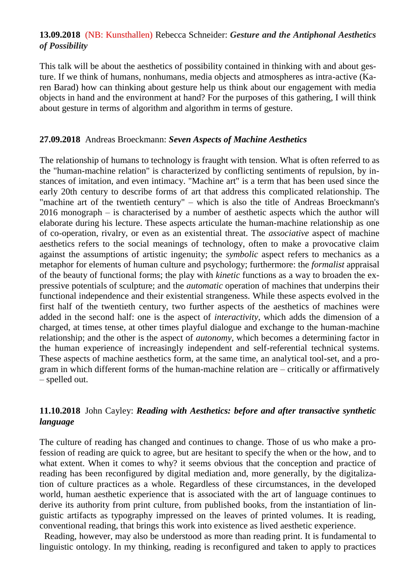#### **13.09.2018** (NB: Kunsthallen) Rebecca Schneider: *Gesture and the Antiphonal Aesthetics of Possibility*

This talk will be about the aesthetics of possibility contained in thinking with and about gesture. If we think of humans, nonhumans, media objects and atmospheres as intra-active (Karen Barad) how can thinking about gesture help us think about our engagement with media objects in hand and the environment at hand? For the purposes of this gathering, I will think about gesture in terms of algorithm and algorithm in terms of gesture.

#### **27.09.2018** Andreas Broeckmann: *Seven Aspects of Machine Aesthetics*

The relationship of humans to technology is fraught with tension. What is often referred to as the "human-machine relation" is characterized by conflicting sentiments of repulsion, by instances of imitation, and even intimacy. "Machine art" is a term that has been used since the early 20th century to describe forms of art that address this complicated relationship. The "machine art of the twentieth century" – which is also the title of Andreas Broeckmann's 2016 monograph – is characterised by a number of aesthetic aspects which the author will elaborate during his lecture. These aspects articulate the human-machine relationship as one of co-operation, rivalry, or even as an existential threat. The *associative* aspect of machine aesthetics refers to the social meanings of technology, often to make a provocative claim against the assumptions of artistic ingenuity; the *symbolic* aspect refers to mechanics as a metaphor for elements of human culture and psychology; furthermore: the *formalist* appraisal of the beauty of functional forms; the play with *kinetic* functions as a way to broaden the expressive potentials of sculpture; and the *automatic* operation of machines that underpins their functional independence and their existential strangeness. While these aspects evolved in the first half of the twentieth century, two further aspects of the aesthetics of machines were added in the second half: one is the aspect of *interactivity*, which adds the dimension of a charged, at times tense, at other times playful dialogue and exchange to the human-machine relationship; and the other is the aspect of *autonomy*, which becomes a determining factor in the human experience of increasingly independent and self-referential technical systems. These aspects of machine aesthetics form, at the same time, an analytical tool-set, and a program in which different forms of the human-machine relation are – critically or affirmatively – spelled out.

### **11.10.2018** John Cayley: *Reading with Aesthetics: before and after transactive synthetic language*

The culture of reading has changed and continues to change. Those of us who make a profession of reading are quick to agree, but are hesitant to specify the when or the how, and to what extent. When it comes to why? it seems obvious that the conception and practice of reading has been reconfigured by digital mediation and, more generally, by the digitalization of culture practices as a whole. Regardless of these circumstances, in the developed world, human aesthetic experience that is associated with the art of language continues to derive its authority from print culture, from published books, from the instantiation of linguistic artifacts as typography impressed on the leaves of printed volumes. It is reading, conventional reading, that brings this work into existence as lived aesthetic experience.

Reading, however, may also be understood as more than reading print. It is fundamental to linguistic ontology. In my thinking, reading is reconfigured and taken to apply to practices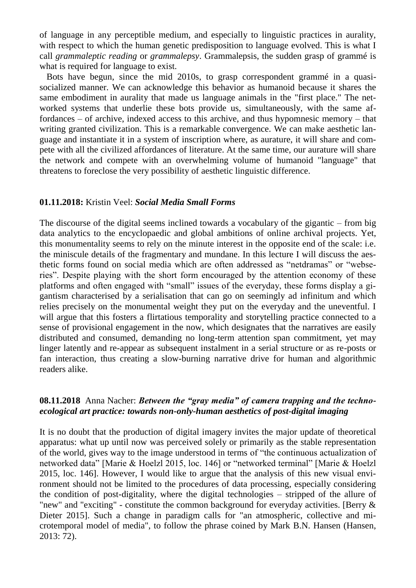of language in any perceptible medium, and especially to linguistic practices in aurality, with respect to which the human genetic predisposition to language evolved. This is what I call *grammaleptic reading* or *grammalepsy*. Grammalepsis, the sudden grasp of grammé is what is required for language to exist.

Bots have begun, since the mid 2010s, to grasp correspondent grammé in a quasisocialized manner. We can acknowledge this behavior as humanoid because it shares the same embodiment in aurality that made us language animals in the "first place." The networked systems that underlie these bots provide us, simultaneously, with the same affordances – of archive, indexed access to this archive, and thus hypomnesic memory – that writing granted civilization. This is a remarkable convergence. We can make aesthetic language and instantiate it in a system of inscription where, as aurature, it will share and compete with all the civilized affordances of literature. At the same time, our aurature will share the network and compete with an overwhelming volume of humanoid "language" that threatens to foreclose the very possibility of aesthetic linguistic difference.

#### **01.11.2018:** Kristin Veel: *Social Media Small Forms*

The discourse of the digital seems inclined towards a vocabulary of the gigantic – from big data analytics to the encyclopaedic and global ambitions of online archival projects. Yet, this monumentality seems to rely on the minute interest in the opposite end of the scale: i.e. the miniscule details of the fragmentary and mundane. In this lecture I will discuss the aesthetic forms found on social media which are often addressed as "netdramas" or "webseries". Despite playing with the short form encouraged by the attention economy of these platforms and often engaged with "small" issues of the everyday, these forms display a gigantism characterised by a serialisation that can go on seemingly ad infinitum and which relies precisely on the monumental weight they put on the everyday and the uneventful. I will argue that this fosters a flirtatious temporality and storytelling practice connected to a sense of provisional engagement in the now, which designates that the narratives are easily distributed and consumed, demanding no long-term attention span commitment, yet may linger latently and re-appear as subsequent instalment in a serial structure or as re-posts or fan interaction, thus creating a slow-burning narrative drive for human and algorithmic readers alike.

#### **08.11.2018** Anna Nacher: *Between the "gray media" of camera trapping and the technoecological art practice: towards non-only-human aesthetics of post-digital imaging*

It is no doubt that the production of digital imagery invites the major update of theoretical apparatus: what up until now was perceived solely or primarily as the stable representation of the world, gives way to the image understood in terms of "the continuous actualization of networked data" [Marie & Hoelzl 2015, loc. 146] or "networked terminal" [Marie & Hoelzl 2015, loc. 146]. However, I would like to argue that the analysis of this new visual environment should not be limited to the procedures of data processing, especially considering the condition of post-digitality, where the digital technologies – stripped of the allure of "new" and "exciting" - constitute the common background for everyday activities. [Berry & Dieter 2015]. Such a change in paradigm calls for "an atmospheric, collective and microtemporal model of media", to follow the phrase coined by Mark B.N. Hansen (Hansen, 2013: 72).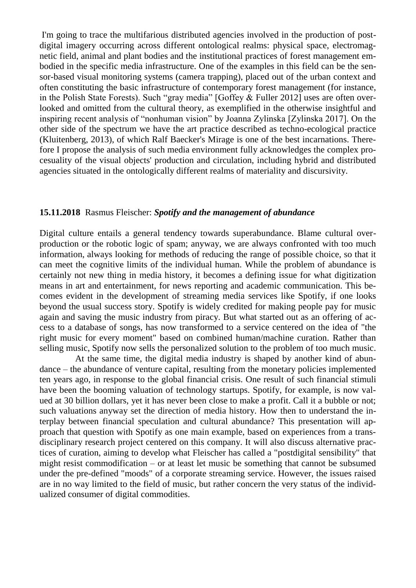I'm going to trace the multifarious distributed agencies involved in the production of postdigital imagery occurring across different ontological realms: physical space, electromagnetic field, animal and plant bodies and the institutional practices of forest management embodied in the specific media infrastructure. One of the examples in this field can be the sensor-based visual monitoring systems (camera trapping), placed out of the urban context and often constituting the basic infrastructure of contemporary forest management (for instance, in the Polish State Forests). Such "gray media" [Goffey & Fuller 2012] uses are often overlooked and omitted from the cultural theory, as exemplified in the otherwise insightful and inspiring recent analysis of "nonhuman vision" by Joanna Zylinska [Zylinska 2017]. On the other side of the spectrum we have the art practice described as techno-ecological practice (Kluitenberg, 2013), of which Ralf Baecker's Mirage is one of the best incarnations. Therefore I propose the analysis of such media environment fully acknowledges the complex procesuality of the visual objects' production and circulation, including hybrid and distributed agencies situated in the ontologically different realms of materiality and discursivity.

#### **15.11.2018** Rasmus Fleischer: *Spotify and the management of abundance*

Digital culture entails a general tendency towards superabundance. Blame cultural overproduction or the robotic logic of spam; anyway, we are always confronted with too much information, always looking for methods of reducing the range of possible choice, so that it can meet the cognitive limits of the individual human. While the problem of abundance is certainly not new thing in media history, it becomes a defining issue for what digitization means in art and entertainment, for news reporting and academic communication. This becomes evident in the development of streaming media services like Spotify, if one looks beyond the usual success story. Spotify is widely credited for making people pay for music again and saving the music industry from piracy. But what started out as an offering of access to a database of songs, has now transformed to a service centered on the idea of "the right music for every moment" based on combined human/machine curation. Rather than selling music, Spotify now sells the personalized solution to the problem of too much music.

At the same time, the digital media industry is shaped by another kind of abundance – the abundance of venture capital, resulting from the monetary policies implemented ten years ago, in response to the global financial crisis. One result of such financial stimuli have been the booming valuation of technology startups. Spotify, for example, is now valued at 30 billion dollars, yet it has never been close to make a profit. Call it a bubble or not; such valuations anyway set the direction of media history. How then to understand the interplay between financial speculation and cultural abundance? This presentation will approach that question with Spotify as one main example, based on experiences from a transdisciplinary research project centered on this company. It will also discuss alternative practices of curation, aiming to develop what Fleischer has called a "postdigital sensibility" that might resist commodification – or at least let music be something that cannot be subsumed under the pre-defined "moods" of a corporate streaming service. However, the issues raised are in no way limited to the field of music, but rather concern the very status of the individualized consumer of digital commodities.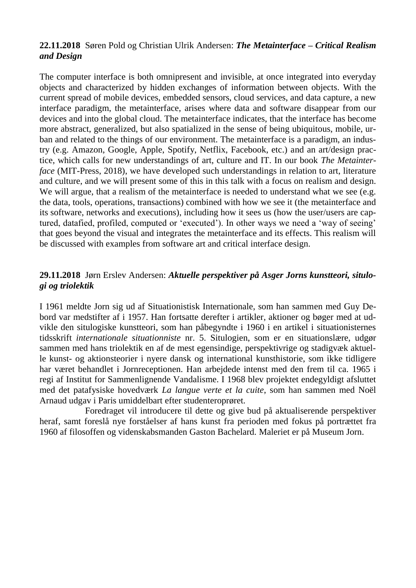#### **22.11.2018** Søren Pold og Christian Ulrik Andersen: *The Metainterface – Critical Realism and Design*

The computer interface is both omnipresent and invisible, at once integrated into everyday objects and characterized by hidden exchanges of information between objects. With the current spread of mobile devices, embedded sensors, cloud services, and data capture, a new interface paradigm, the metainterface, arises where data and software disappear from our devices and into the global cloud. The metainterface indicates, that the interface has become more abstract, generalized, but also spatialized in the sense of being ubiquitous, mobile, urban and related to the things of our environment. The metainterface is a paradigm, an industry (e.g. Amazon, Google, Apple, Spotify, Netflix, Facebook, etc.) and an art/design practice, which calls for new understandings of art, culture and IT. In our book *The Metainterface* (MIT-Press, 2018), we have developed such understandings in relation to art, literature and culture, and we will present some of this in this talk with a focus on realism and design. We will argue, that a realism of the metainterface is needed to understand what we see (e.g. the data, tools, operations, transactions) combined with how we see it (the metainterface and its software, networks and executions), including how it sees us (how the user/users are captured, datafied, profiled, computed or 'executed'). In other ways we need a 'way of seeing' that goes beyond the visual and integrates the metainterface and its effects. This realism will be discussed with examples from software art and critical interface design.

## **29.11.2018** Jørn Erslev Andersen: *Aktuelle perspektiver på Asger Jorns kunstteori, situlogi og triolektik*

I 1961 meldte Jorn sig ud af Situationistisk Internationale, som han sammen med Guy Debord var medstifter af i 1957. Han fortsatte derefter i artikler, aktioner og bøger med at udvikle den situlogiske kunstteori, som han påbegyndte i 1960 i en artikel i situationisternes tidsskrift *internationale situationniste* nr. 5. Situlogien, som er en situationslære, udgør sammen med hans triolektik en af de mest egensindige, perspektivrige og stadigvæk aktuelle kunst- og aktionsteorier i nyere dansk og international kunsthistorie, som ikke tidligere har været behandlet i Jornreceptionen. Han arbejdede intenst med den frem til ca. 1965 i regi af Institut for Sammenlignende Vandalisme. I 1968 blev projektet endegyldigt afsluttet med det patafysiske hovedværk *La langue verte et la cuite*, som han sammen med Noël Arnaud udgav i Paris umiddelbart efter studenteroprøret.

Foredraget vil introducere til dette og give bud på aktualiserende perspektiver heraf, samt foreslå nye forståelser af hans kunst fra perioden med fokus på portrættet fra 1960 af filosoffen og videnskabsmanden Gaston Bachelard. Maleriet er på Museum Jorn.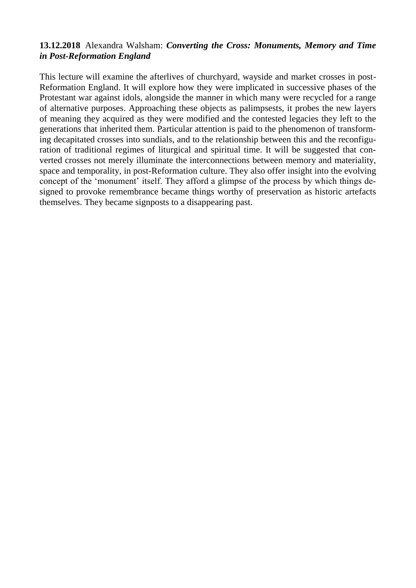#### **13.12.2018** Alexandra Walsham: *Converting the Cross: Monuments, Memory and Time in Post-Reformation England*

This lecture will examine the afterlives of churchyard, wayside and market crosses in post-Reformation England. It will explore how they were implicated in successive phases of the Protestant war against idols, alongside the manner in which many were recycled for a range of alternative purposes. Approaching these objects as palimpsests, it probes the new layers of meaning they acquired as they were modified and the contested legacies they left to the generations that inherited them. Particular attention is paid to the phenomenon of transforming decapitated crosses into sundials, and to the relationship between this and the reconfiguration of traditional regimes of liturgical and spiritual time. It will be suggested that converted crosses not merely illuminate the interconnections between memory and materiality, space and temporality, in post-Reformation culture. They also offer insight into the evolving concept of the 'monument' itself. They afford a glimpse of the process by which things designed to provoke remembrance became things worthy of preservation as historic artefacts themselves. They became signposts to a disappearing past.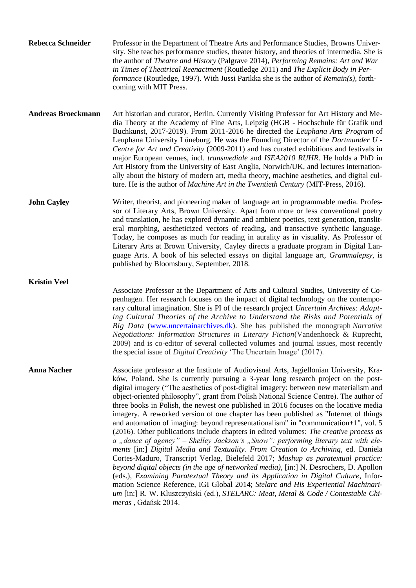| Rebecca Schneider | Professor in the Department of Theatre Arts and Performance Studies, Browns Univer-                  |
|-------------------|------------------------------------------------------------------------------------------------------|
|                   | sity. She teaches performance studies, theater history, and theories of intermedia. She is           |
|                   | the author of <i>Theatre and History</i> (Palgrave 2014), <i>Performing Remains: Art and War</i>     |
|                   | in Times of Theatrical Reenactment (Routledge 2011) and The Explicit Body in Per-                    |
|                   | <i>formance</i> (Routledge, 1997). With Jussi Parikka she is the author of <i>Remain(s)</i> , forth- |
|                   | coming with MIT Press.                                                                               |

**Andreas Broeckmann** Art historian and curator, Berlin. Currently Visiting Professor for Art History and Media Theory at the Academy of Fine Arts, Leipzig (HGB - Hochschule für Grafik und Buchkunst, 2017-2019). From 2011-2016 he directed the *Leuphana Arts Program* of Leuphana University Lüneburg. He was the Founding Director of the *Dortmunder U - Centre for Art and Creativity* (2009-2011) and has curated exhibitions and festivals in major European venues, incl. *transmediale* and *ISEA2010 RUHR*. He holds a PhD in Art History from the University of East Anglia, Norwich/UK, and lectures internationally about the history of modern art, media theory, machine aesthetics, and digital culture. He is the author of *Machine Art in the Twentieth Century* (MIT-Press, 2016).

**John Cayley** Writer, theorist, and pioneering maker of language art in programmable media. Professor of Literary Arts, Brown University. Apart from more or less conventional poetry and translation, he has explored dynamic and ambient poetics, text generation, transliteral morphing, aestheticized vectors of reading, and transactive synthetic language. Today, he composes as much for reading in aurality as in visuality. As Professor of Literary Arts at Brown University, Cayley directs a graduate program in Digital Language Arts. A book of his selected essays on digital language art, *Grammalepsy*, is published by Bloomsbury, September, 2018.

**Kristin Veel**

Associate Professor at the Department of Arts and Cultural Studies, University of Copenhagen. Her research focuses on the impact of digital technology on the contemporary cultural imagination. She is PI of the research project *Uncertain Archives: Adapting Cultural Theories of the Archive to Understand the Risks and Potentials of Big Data* [\(www.uncertainarchives.dk\)](http://www.uncertainarchives.dk/). She has published the monograph *Narrative Negotiations: Information Structures in Literary Fiction*(Vandenhoeck & Ruprecht, 2009) and is co-editor of several collected volumes and journal issues, most recently the special issue of *Digital Creativity* 'The Uncertain Image' (2017).

**Anna Nacher** Associate professor at the Institute of Audiovisual Arts, Jagiellonian University, Kraków, Poland. She is currently pursuing a 3-year long research project on the postdigital imagery ("The aesthetics of post-digital imagery: between new materialism and object-oriented philosophy", grant from Polish National Science Centre). The author of three books in Polish, the newest one published in 2016 focuses on the locative media imagery. A reworked version of one chapter has been published as "Internet of things and automation of imaging: beyond representationalism" in "communication+1", vol. 5 (2016). Other publications include chapters in edited volumes: *The creative process as*  a "dance of agency" – Shelley Jackson's "Snow": performing literary text with ele*ments* [in:] *Digital Media and Textuality. From Creation to Archiving*, ed. Daniela Cortes-Maduro, Transcript Verlag, Bielefeld 2017; *Mashup as paratextual practice: beyond digital objects (in the age of networked media),* [in:] N. Desrochers, D. Apollon (eds.), *Examining Paratextual Theory and its Application in Digital Culture*, Information Science Reference, IGI Global 2014; *Stelarc and His Experiential Machinarium* [in:] R. W. Kluszczyński (ed.), *STELARC: Meat, Metal & Code / Contestable Chimeras* , Gdańsk 2014.